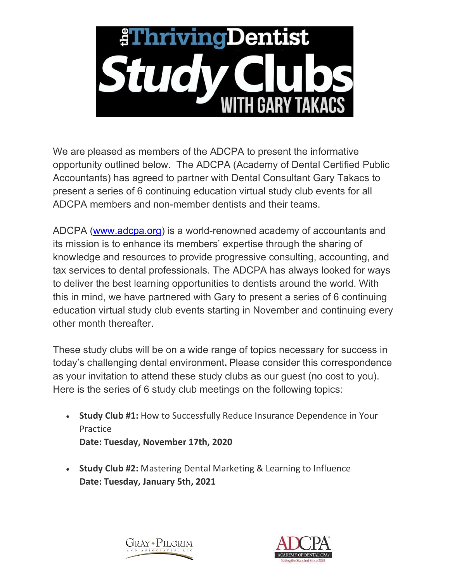

We are pleased as members of the ADCPA to present the informative opportunity outlined below. The ADCPA (Academy of Dental Certified Public Accountants) has agreed to partner with Dental Consultant Gary Takacs to present a series of 6 continuing education virtual study club events for all ADCPA members and non-member dentists and their teams.

ADCPA [\(www.adcpa.org\)](http://www.adcpa.org/) is a world-renowned academy of accountants and its mission is to enhance its members' expertise through the sharing of knowledge and resources to provide progressive consulting, accounting, and tax services to dental professionals. The ADCPA has always looked for ways to deliver the best learning opportunities to dentists around the world. With this in mind, we have partnered with Gary to present a series of 6 continuing education virtual study club events starting in November and continuing every other month thereafter.

These study clubs will be on a wide range of topics necessary for success in today's challenging dental environment**.** Please consider this correspondence as your invitation to attend these study clubs as our guest (no cost to you). Here is the series of 6 study club meetings on the following topics:

- **Study Club #1:** How to Successfully Reduce Insurance Dependence in Your **Practice Date: Tuesday, November 17th, 2020**
- **Study Club #2:** Mastering Dental Marketing & Learning to Influence **Date: Tuesday, January 5th, 2021**



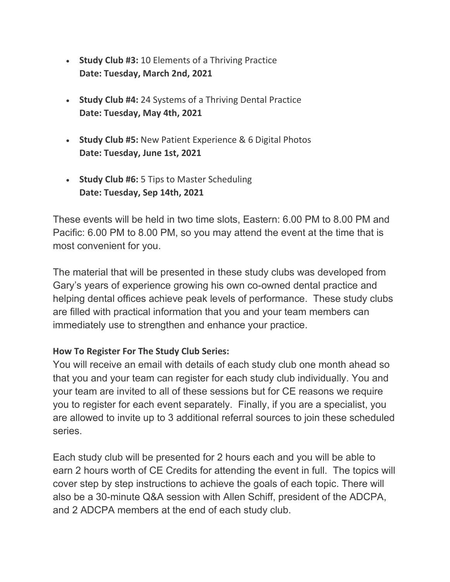- **Study Club #3:** 10 Elements of a Thriving Practice **Date: Tuesday, March 2nd, 2021**
- **Study Club #4:** 24 Systems of a Thriving Dental Practice **Date: Tuesday, May 4th, 2021**
- **Study Club #5:** New Patient Experience & 6 Digital Photos **Date: Tuesday, June 1st, 2021**
- **Study Club #6:** 5 Tips to Master Scheduling **Date: Tuesday, Sep 14th, 2021**

These events will be held in two time slots, Eastern: 6.00 PM to 8.00 PM and Pacific: 6.00 PM to 8.00 PM, so you may attend the event at the time that is most convenient for you.

The material that will be presented in these study clubs was developed from Gary's years of experience growing his own co-owned dental practice and helping dental offices achieve peak levels of performance. These study clubs are filled with practical information that you and your team members can immediately use to strengthen and enhance your practice.

## **How To Register For The Study Club Series:**

You will receive an email with details of each study club one month ahead so that you and your team can register for each study club individually. You and your team are invited to all of these sessions but for CE reasons we require you to register for each event separately. Finally, if you are a specialist, you are allowed to invite up to 3 additional referral sources to join these scheduled series.

Each study club will be presented for 2 hours each and you will be able to earn 2 hours worth of CE Credits for attending the event in full. The topics will cover step by step instructions to achieve the goals of each topic. There will also be a 30-minute Q&A session with Allen Schiff, president of the ADCPA, and 2 ADCPA members at the end of each study club.